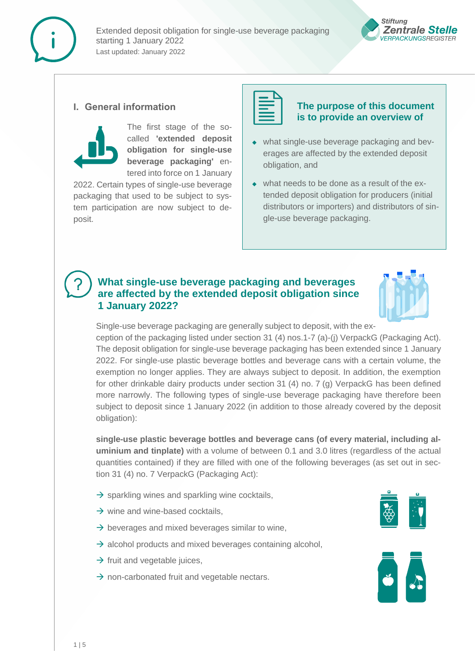



### **I. General information**



The first stage of the socalled **'extended deposit obligation for single-use beverage packaging'** entered into force on 1 January

2022. Certain types of single-use beverage packaging that used to be subject to system participation are now subject to deposit.



### **The purpose of this document is to provide an overview of**

- ◆ what single-use beverage packaging and beverages are affected by the extended deposit obligation, and
- ◆ what needs to be done as a result of the extended deposit obligation for producers (initial distributors or importers) and distributors of single-use beverage packaging.

## **What single-use beverage packaging and beverages are affected by the extended deposit obligation since 1 January 2022?**



Single-use beverage packaging are generally subject to deposit, with the ex-

ception of the packaging listed under section 31 (4) nos.1-7 (a)-(j) VerpackG (Packaging Act). The deposit obligation for single-use beverage packaging has been extended since 1 January 2022. For single-use plastic beverage bottles and beverage cans with a certain volume, the exemption no longer applies. They are always subject to deposit. In addition, the exemption for other drinkable dairy products under section 31 (4) no. 7 (g) VerpackG has been defined more narrowly. The following types of single-use beverage packaging have therefore been subject to deposit since 1 January 2022 (in addition to those already covered by the deposit obligation):

**single-use plastic beverage bottles and beverage cans (of every material, including aluminium and tinplate)** with a volume of between 0.1 and 3.0 litres (regardless of the actual quantities contained) if they are filled with one of the following beverages (as set out in section 31 (4) no. 7 VerpackG (Packaging Act):

- $\rightarrow$  sparkling wines and sparkling wine cocktails,
- $\rightarrow$  wine and wine-based cocktails,
- $\rightarrow$  beverages and mixed beverages similar to wine.
- $\rightarrow$  alcohol products and mixed beverages containing alcohol,
- $\rightarrow$  fruit and vegetable juices,
- $\rightarrow$  non-carbonated fruit and vegetable nectars.



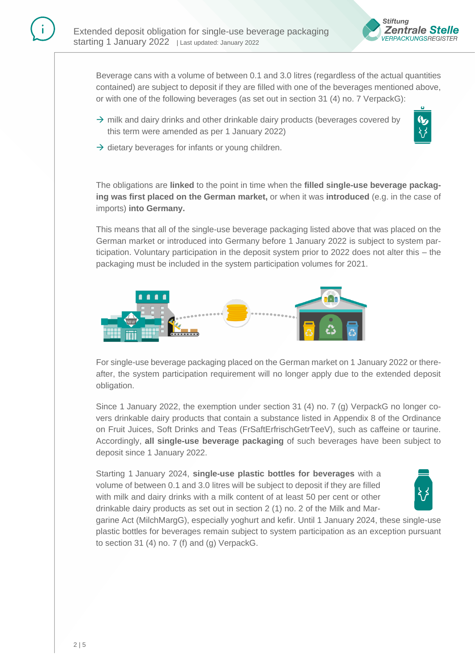

Beverage cans with a volume of between 0.1 and 3.0 litres (regardless of the actual quantities contained) are subject to deposit if they are filled with one of the beverages mentioned above, or with one of the following beverages (as set out in section 31 (4) no. 7 VerpackG):

 $\rightarrow$  milk and dairy drinks and other drinkable dairy products (beverages covered by this term were amended as per 1 January 2022)



 $\rightarrow$  dietary beverages for infants or young children.

The obligations are **linked** to the point in time when the **filled single-use beverage packaging was first placed on the German market,** or when it was **introduced** (e.g. in the case of imports) **into Germany.**

This means that all of the single-use beverage packaging listed above that was placed on the German market or introduced into Germany before 1 January 2022 is subject to system participation. Voluntary participation in the deposit system prior to 2022 does not alter this – the packaging must be included in the system participation volumes for 2021.



For single-use beverage packaging placed on the German market on 1 January 2022 or thereafter, the system participation requirement will no longer apply due to the extended deposit obligation.

Since 1 January 2022, the exemption under section 31 (4) no. 7 (g) VerpackG no longer covers drinkable dairy products that contain a substance listed in Appendix 8 of the Ordinance on Fruit Juices, Soft Drinks and Teas (FrSaftErfrischGetrTeeV), such as caffeine or taurine. Accordingly, **all single-use beverage packaging** of such beverages have been subject to deposit since 1 January 2022.

Starting 1 January 2024, **single-use plastic bottles for beverages** with a volume of between 0.1 and 3.0 litres will be subject to deposit if they are filled with milk and dairy drinks with a milk content of at least 50 per cent or other drinkable dairy products as set out in section 2 (1) no. 2 of the Milk and Mar-



garine Act (MilchMargG), especially yoghurt and kefir. Until 1 January 2024, these single-use plastic bottles for beverages remain subject to system participation as an exception pursuant to section 31 (4) no. 7 (f) and (g) VerpackG.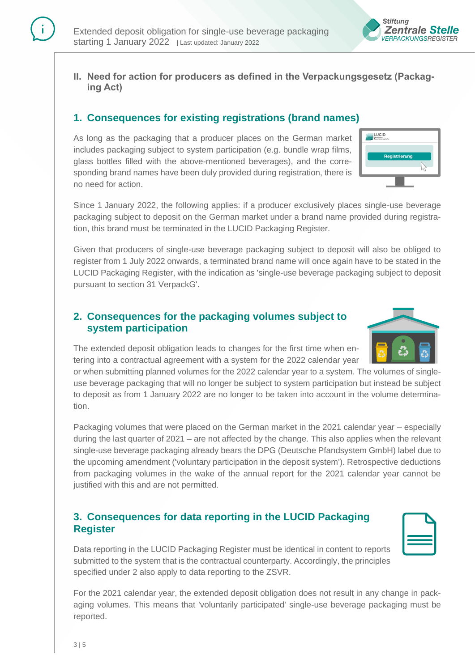

**II. Need for action for producers as defined in the Verpackungsgesetz (Packaging Act)**

# **1. Consequences for existing registrations (brand names)**

As long as the packaging that a producer places on the German market includes packaging subject to system participation (e.g. bundle wrap films, glass bottles filled with the above-mentioned beverages), and the corresponding brand names have been duly provided during registration, there is no need for action.

LUCID

Since 1 January 2022, the following applies: if a producer exclusively places single-use beverage packaging subject to deposit on the German market under a brand name provided during registration, this brand must be terminated in the LUCID Packaging Register.

Given that producers of single-use beverage packaging subject to deposit will also be obliged to register from 1 July 2022 onwards, a terminated brand name will once again have to be stated in the LUCID Packaging Register, with the indication as 'single-use beverage packaging subject to deposit pursuant to section 31 VerpackG'.

## **2. Consequences for the packaging volumes subject to system participation**

The extended deposit obligation leads to changes for the first time when entering into a contractual agreement with a system for the 2022 calendar year

or when submitting planned volumes for the 2022 calendar year to a system. The volumes of singleuse beverage packaging that will no longer be subject to system participation but instead be subject to deposit as from 1 January 2022 are no longer to be taken into account in the volume determination.

Packaging volumes that were placed on the German market in the 2021 calendar year – especially during the last quarter of 2021 – are not affected by the change. This also applies when the relevant single-use beverage packaging already bears the DPG (Deutsche Pfandsystem GmbH) label due to the upcoming amendment ('voluntary participation in the deposit system'). Retrospective deductions from packaging volumes in the wake of the annual report for the 2021 calendar year cannot be justified with this and are not permitted.

## **3. Consequences for data reporting in the LUCID Packaging Register**

Data reporting in the LUCID Packaging Register must be identical in content to reports submitted to the system that is the contractual counterparty. Accordingly, the principles specified under 2 also apply to data reporting to the ZSVR.

For the 2021 calendar year, the extended deposit obligation does not result in any change in packaging volumes. This means that 'voluntarily participated' single-use beverage packaging must be reported.



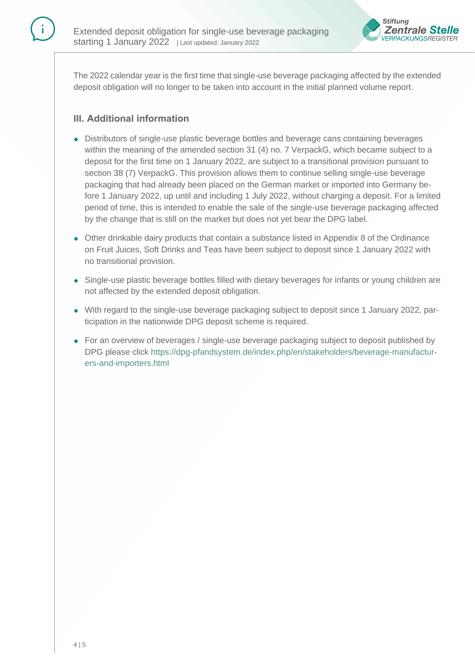

The 2022 calendar year is the first time that single-use beverage packaging affected by the extended deposit obligation will no longer to be taken into account in the initial planned volume report.

## **III. Additional information**

- ◆ Distributors of single-use plastic beverage bottles and beverage cans containing beverages within the meaning of the amended section 31 (4) no. 7 VerpackG, which became subject to a deposit for the first time on 1 January 2022, are subject to a transitional provision pursuant to section 38 (7) VerpackG. This provision allows them to continue selling single-use beverage packaging that had already been placed on the German market or imported into Germany before 1 January 2022, up until and including 1 July 2022, without charging a deposit. For a limited period of time, this is intended to enable the sale of the single-use beverage packaging affected by the change that is still on the market but does not yet bear the DPG label.
- ◆ Other drinkable dairy products that contain a substance listed in Appendix 8 of the Ordinance on Fruit Juices, Soft Drinks and Teas have been subject to deposit since 1 January 2022 with no transitional provision.
- ◆ Single-use plastic beverage bottles filled with dietary beverages for infants or young children are not affected by the extended deposit obligation.
- ◆ With regard to the single-use beverage packaging subject to deposit since 1 January 2022, participation in the nationwide DPG deposit scheme is required.
- ◆ For an overview of beverages / single-use beverage packaging subject to deposit published by DPG please click [https://dpg-pfandsystem.de/index.php/en/stakeholders/beverage-manufactur](https://dpg-pfandsystem.de/index.php/en/stakeholders/beverage-manufacturers-and-importers.html)[ers-and-importers.html](https://dpg-pfandsystem.de/index.php/en/stakeholders/beverage-manufacturers-and-importers.html)